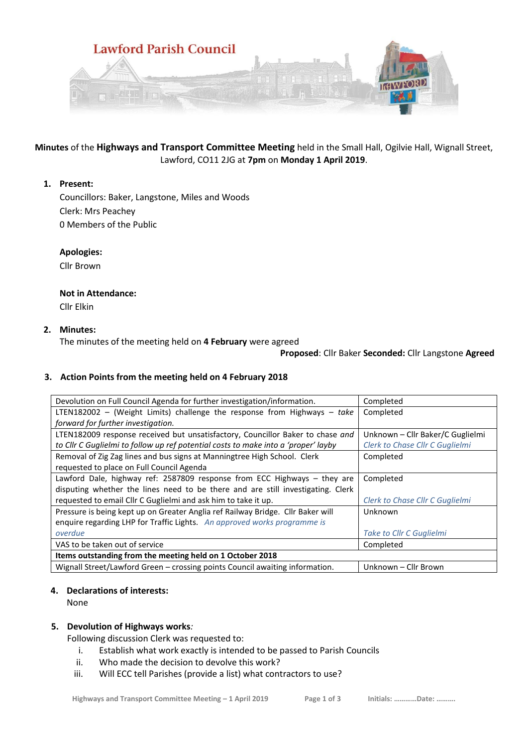

**Minutes** of the **Highways and Transport Committee Meeting** held in the Small Hall, Ogilvie Hall, Wignall Street, Lawford, CO11 2JG at **7pm** on **Monday 1 April 2019**.

### **1. Present:**

Councillors: Baker, Langstone, Miles and Woods Clerk: Mrs Peachey 0 Members of the Public

**Apologies:**

Cllr Brown

# **Not in Attendance:**

Cllr Elkin

## **2. Minutes:**

The minutes of the meeting held on **4 February** were agreed

### **Proposed**: Cllr Baker **Seconded:** Cllr Langstone **Agreed**

## **3. Action Points from the meeting held on 4 February 2018**

| Devolution on Full Council Agenda for further investigation/information.           | Completed                        |
|------------------------------------------------------------------------------------|----------------------------------|
| LTEN182002 - (Weight Limits) challenge the response from Highways - take           | Completed                        |
| forward for further investigation.                                                 |                                  |
| LTEN182009 response received but unsatisfactory, Councillor Baker to chase and     | Unknown - Cllr Baker/C Guglielmi |
| to Cllr C Guglielmi to follow up ref potential costs to make into a 'proper' layby | Clerk to Chase Cllr C Guglielmi  |
| Removal of Zig Zag lines and bus signs at Manningtree High School. Clerk           | Completed                        |
| requested to place on Full Council Agenda                                          |                                  |
| Lawford Dale, highway ref: 2587809 response from ECC Highways - they are           | Completed                        |
| disputing whether the lines need to be there and are still investigating. Clerk    |                                  |
| requested to email Cllr C Guglielmi and ask him to take it up.                     | Clerk to Chase Cllr C Guglielmi  |
| Pressure is being kept up on Greater Anglia ref Railway Bridge. Cllr Baker will    | Unknown                          |
| enquire regarding LHP for Traffic Lights. An approved works programme is           |                                  |
| overdue                                                                            | Take to Cllr C Guglielmi         |
| VAS to be taken out of service                                                     | Completed                        |
| Items outstanding from the meeting held on 1 October 2018                          |                                  |
| Wignall Street/Lawford Green - crossing points Council awaiting information.       | Unknown - Cllr Brown             |

### **4. Declarations of interests:**

None

### **5. Devolution of Highways works***:*

Following discussion Clerk was requested to:

- i. Establish what work exactly is intended to be passed to Parish Councils
- ii. Who made the decision to devolve this work?
- iii. Will ECC tell Parishes (provide a list) what contractors to use?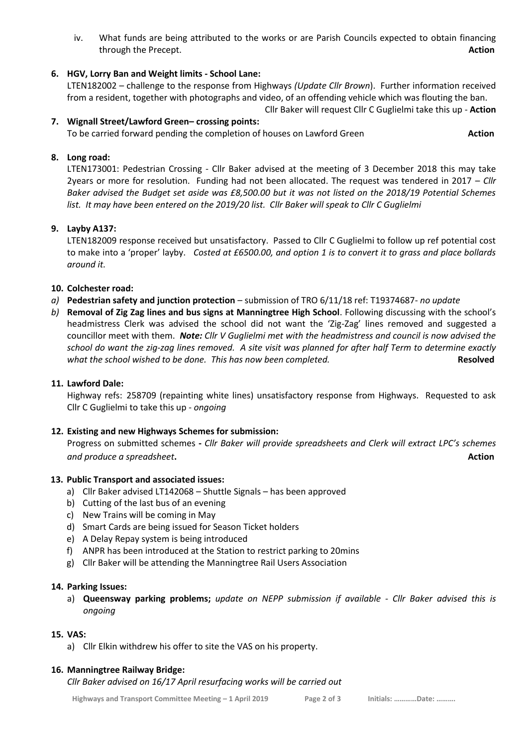iv. What funds are being attributed to the works or are Parish Councils expected to obtain financing through the Precept. **Action**

## **6. HGV, Lorry Ban and Weight limits - School Lane:**

LTEN182002 – challenge to the response from Highways *(Update Cllr Brown*). Further information received from a resident, together with photographs and video, of an offending vehicle which was flouting the ban.

#### Cllr Baker will request Cllr C Guglielmi take this up - **Action 7. Wignall Street/Lawford Green– crossing points:**

To be carried forward pending the completion of houses on Lawford Green **Action**

### **8. Long road:**

LTEN173001: Pedestrian Crossing - Cllr Baker advised at the meeting of 3 December 2018 this may take 2years or more for resolution. Funding had not been allocated. The request was tendered in 2017 – *Cllr Baker advised the Budget set aside was £8,500.00 but it was not listed on the 2018/19 Potential Schemes list. It may have been entered on the 2019/20 list. Cllr Baker will speak to Cllr C Guglielmi*

### **9. Layby A137:**

LTEN182009 response received but unsatisfactory. Passed to Cllr C Guglielmi to follow up ref potential cost to make into a 'proper' layby. *Costed at £6500.00, and option 1 is to convert it to grass and place bollards around it.*

## **10. Colchester road:**

- *a)* **Pedestrian safety and junction protection** submission of TRO 6/11/18 ref: T19374687- *no update*
- *b)* **Removal of Zig Zag lines and bus signs at Manningtree High School**. Following discussing with the school's headmistress Clerk was advised the school did not want the 'Zig-Zag' lines removed and suggested a councillor meet with them. *Note: Cllr V Guglielmi met with the headmistress and council is now advised the school do want the zig-zag lines removed. A site visit was planned for after half Term to determine exactly*  what the school wished to be done. This has now been completed. **All and the school wished to be done.** This has now been completed.

## **11. Lawford Dale:**

Highway refs: 258709 (repainting white lines) unsatisfactory response from Highways. Requested to ask Cllr C Guglielmi to take this up - *ongoing*

### **12. Existing and new Highways Schemes for submission:**

Progress on submitted schemes **-** *Cllr Baker will provide spreadsheets and Clerk will extract LPC's schemes and produce a spreadsheet*. Action *Action* 

### **13. Public Transport and associated issues:**

- a) Cllr Baker advised LT142068 Shuttle Signals has been approved
- b) Cutting of the last bus of an evening
- c) New Trains will be coming in May
- d) Smart Cards are being issued for Season Ticket holders
- e) A Delay Repay system is being introduced
- f) ANPR has been introduced at the Station to restrict parking to 20mins
- g) Cllr Baker will be attending the Manningtree Rail Users Association

### **14. Parking Issues:**

a) **Queensway parking problems;** *update on NEPP submission if available - Cllr Baker advised this is ongoing*

### **15. VAS:**

a) Cllr Elkin withdrew his offer to site the VAS on his property.

### **16. Manningtree Railway Bridge:**

*Cllr Baker advised on 16/17 April resurfacing works will be carried out*

**Highways and Transport Committee Meeting – 1 April 2019 Page 2 of 3 Initials: …………Date: ……….**